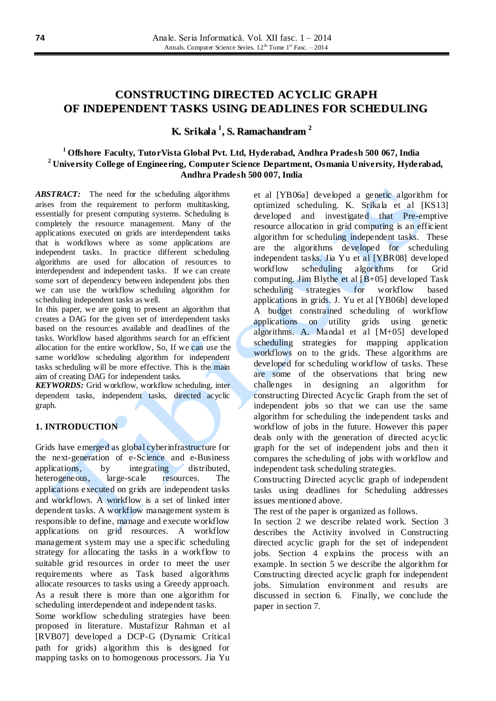# **CONSTRUCTING DIRECTED ACYCLIC GRAPH OF INDEPENDENT TASKS USING DEADLINES FOR SCHEDULING**

**K. Srikala 1 , S. Ramachandram 2**

# **<sup>1</sup>Offshore Faculty, TutorVista Global Pvt. Ltd, Hyderabad, Andhra Pradesh 500 067, India <sup>2</sup>University College of Engineering, Computer Science Department, Osmania University, Hyderabad, Andhra Pradesh 500 007, India**

*ABSTRACT:*The need for the scheduling algorithms arises from the requirement to perform multitasking, essentially for present computing systems. Scheduling is completely the resource management. Many of the applications executed on grids are interdependent tasks that is workflows where as some applications are independent tasks. In practice different scheduling algorithms are used for allocation of resources to interdependent and independent tasks. If we can create some sort of dependency between independent jobs then we can use the workflow scheduling algorithm for scheduling independent tasks as well.

In this paper, we are going to present an algorithm that creates a DAG for the given set of interdependent tasks based on the resources available and deadlines of the tasks. Workflow based algorithms search for an efficient allocation for the entire workflow, So, If we can use the same workflow scheduling algorithm for independent tasks scheduling will be more effective. This is the main aim of creating DAG for independent tasks.

*KEYWORDS:* Grid workflow, workflow *s*cheduling, inter dependent tasks, independent tasks, directed acyclic graph.

# **1. INTRODUCTION**

Grids have emerged as global cyberinfrastructure for the next-generation of e-Science and e-Business applications, by integrating distributed, heterogeneous, large-scale resources. The applications executed on grids are independent tasks and workflows. A workflow is a set of linked inter dependent tasks. A workflow management system is responsible to define, manage and execute workflow applications on grid resources. A workflow management system may use a specific scheduling strategy for allocating the tasks in a workflow to suitable grid resources in order to meet the user requirements where as Task based algorithms allocate resources to tasks using a Greedy approach. As a result there is more than one algorithm for scheduling interdependent and independent tasks.

Some workflow scheduling strategies have been proposed in literature. Mustafizur Rahman et al [RVB07] developed a DCP-G (Dynamic Critical path for grids) algorithm this is designed for mapping tasks on to homogenous processors. Jia Yu

et al [YB06a] developed a genetic algorithm for optimized scheduling. K. Srikala et al [KS13] developed and investigated that Pre-emptive resource allocation in grid computing is an efficient algorithm for scheduling independent tasks. These are the algorithms developed for scheduling independent tasks. Jia Yu et al [YBR08] developed workflow scheduling algorithms for Grid computing. Jim Blythe et al [B+05] developed Task scheduling strategies for workflow based applications in grids. J. Yu et al [YB06b] developed A budget constrained scheduling of workflow applications on utility grids using genetic algorithms. A. Mandal et al [M+05] developed scheduling strategies for mapping application workflows on to the grids. These algorithms are developed for scheduling workflow of tasks. These are some of the observations that bring new challenges in designing an algorithm for constructing Directed Acyclic Graph from the set of independent jobs so that we can use the same algorithm for scheduling the independent tasks and workflow of jobs in the future. However this paper deals only with the generation of directed acyclic graph for the set of independent jobs and then it compares the scheduling of jobs with workflow and independent task scheduling strategies.

Constructing Directed acyclic graph of independent tasks using deadlines for Scheduling addresses issues mentioned above.

The rest of the paper is organized as follows.

In section 2 we describe related work. Section 3 describes the Activity involved in Constructing directed acyclic graph for the set of independent jobs. Section 4 explains the process with an example. In section 5 we describe the algorithm for Constructing directed acyclic graph for independent jobs. Simulation environment and results are discussed in section 6. Finally, we conclude the paper in section 7.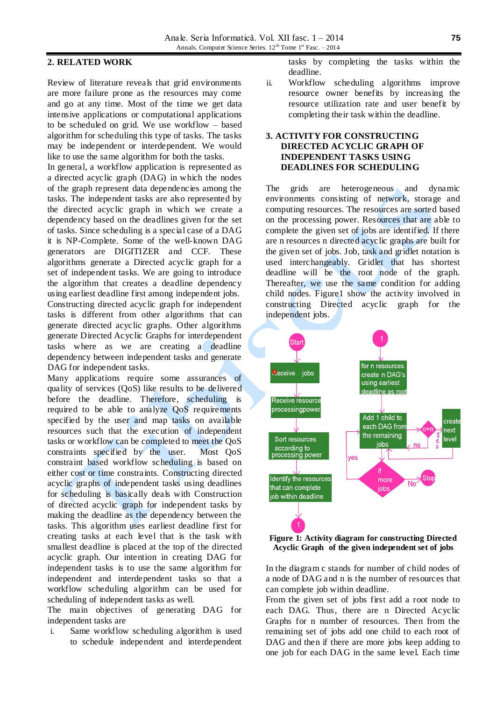#### **2. RELATED WORK**

Review of literature reveals that grid environments are more failure prone as the resources may come and go at any time. Most of the time we get data intensive applications or computational applications to be scheduled on grid. We use workflow – based algorithm for scheduling this type of tasks. The tasks may be independent or interdependent. We would like to use the same algorithm for both the tasks.

In general, a workflow application is represented as a directed acyclic graph (DAG) in which the nodes of the graph represent data dependencies among the tasks. The independent tasks are also represented by the directed acyclic graph in which we create a dependency based on the deadlines given for the set of tasks. Since scheduling is a special case of a DAG it is NP-Complete. Some of the well-known DAG generators are DIGITIZER and CCF. These algorithms generate a Directed acyclic graph for a set of independent tasks. We are going to introduce the algorithm that creates a deadline dependency using earliest deadline first among independent jobs. Constructing directed acyclic graph for independent tasks is different from other algorithms that can generate directed acyclic graphs. Other algorithms generate Directed Acyclic Graphs for interdependent tasks where as we are creating a deadline dependency between independent tasks and generate DAG for independent tasks.

Many applications require some assurances of quality of services (QoS) like results to be delivered before the deadline. Therefore, scheduling is required to be able to analyze QoS requirements specified by the user and map tasks on available resources such that the execution of independent tasks or workflow can be completed to meet the QoS constraints specified by the user. Most QoS constraint based workflow scheduling is based on either cost or time constraints. Constructing directed acyclic graphs of independent tasks using deadlines for scheduling is basically deals with Construction of directed acyclic graph for independent tasks by making the deadline as the dependency between the tasks. This algorithm uses earliest deadline first for creating tasks at each level that is the task with smallest deadline is placed at the top of the directed acyclic graph. Our intention in creating DAG for independent tasks is to use the same algorithm for independent and interdependent tasks so that a workflow scheduling algorithm can be used for scheduling of independent tasks as well.

The main objectives of generating DAG for independent tasks are

i. Same workflow scheduling algorithm is used to schedule independent and interdependent tasks by completing the tasks within the deadline.

ii. Workflow scheduling algorithms improve resource owner benefits by increasing the resource utilization rate and user benefit by completing their task within the deadline.

## **3. ACTIVITY FOR CONSTRUCTING DIRECTED ACYCLIC GRAPH OF INDEPENDENT TASKS USING DEADLINES FOR SCHEDULING**

The grids are heterogeneous and dynamic environments consisting of network, storage and computing resources. The resources are sorted based on the processing power. Resources that are able to complete the given set of jobs are identified. If there are n resources n directed acyclic graphs are built for the given set of jobs. Job, task and gridlet notation is used interchangeably. Gridlet that has shortest deadline will be the root node of the graph. Thereafter, we use the same condition for adding child nodes. Figure1 show the activity involved in constructing Directed acyclic graph for the independent jobs.





In the diagram c stands for number of child nodes of a node of DAG and n is the number of resources that can complete job within deadline.

From the given set of jobs first add a root node to each DAG. Thus, there are n Directed Acyclic Graphs for n number of resources. Then from the remaining set of jobs add one child to each root of DAG and then if there are more jobs keep adding to one job for each DAG in the same level. Each time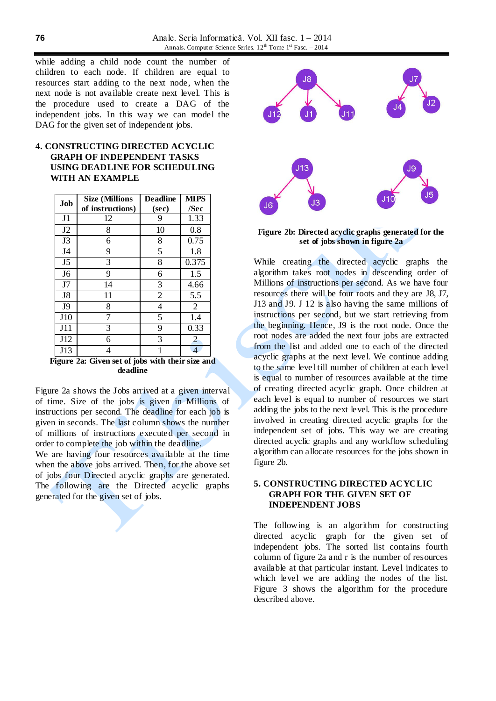while adding a child node count the number of children to each node. If children are equal to resources start adding to the next node, when the next node is not available create next level. This is the procedure used to create a DAG of the independent jobs. In this way we can model the DAG for the given set of independent jobs.

# **4. CONSTRUCTING DIRECTED ACYCLIC GRAPH OF INDEPENDENT TASKS USING DEADLINE FOR SCHEDULING WITH AN EXAMPLE**

| Job            | <b>Size (Millions</b> | <b>Deadline</b> | <b>MIPS</b>    |
|----------------|-----------------------|-----------------|----------------|
|                | of instructions)      | (sec)           | /Sec           |
| J1             | 12                    | 9               | 1.33           |
| J <sub>2</sub> | 8                     | 10              | 0.8            |
| J3             | 6                     | 8               | 0.75           |
| J4             | 9                     | 5               | 1.8            |
| J <sub>5</sub> | 3                     | 8               | 0.375          |
| J <sub>6</sub> | 9                     | 6               | 1.5            |
| J7             | 14                    | 3               | 4.66           |
| J8             | 11                    | $\overline{2}$  | 5.5            |
| J9             | 8                     | 4               | $\overline{2}$ |
| J10            | 7                     | 5               | 1.4            |
| J11            | 3                     | 9               | 0.33           |
| J12            | 6                     | 3               | $\overline{2}$ |
| J13            | 4                     | 1               |                |

**Figure 2a: Given set of jobs with their size and deadline**

Figure 2a shows the Jobs arrived at a given interval of time. Size of the jobs is given in Millions of instructions per second. The deadline for each job is given in seconds. The last column shows the number of millions of instructions executed per second in order to complete the job within the deadline.

We are having four resources available at the time when the above jobs arrived. Then, for the above set of jobs four Directed acyclic graphs are generated. The following are the Directed acyclic graphs generated for the given set of jobs.



**Figure 2b: Directed acyclic graphs generated for the set of jobs shown in figure 2a**

While creating the directed acyclic graphs the algorithm takes root nodes in descending order of Millions of instructions per second. As we have four resources there will be four roots and they are J8, J7, J13 and J9. J 12 is also having the same millions of instructions per second, but we start retrieving from the beginning. Hence, J9 is the root node. Once the root nodes are added the next four jobs are extracted from the list and added one to each of the directed acyclic graphs at the next level. We continue adding to the same level till number of children at each level is equal to number of resources available at the time of creating directed acyclic graph. Once children at each level is equal to number of resources we start adding the jobs to the next level. This is the procedure involved in creating directed acyclic graphs for the independent set of jobs. This way we are creating directed acyclic graphs and any workflow scheduling algorithm can allocate resources for the jobs shown in figure 2b.

#### **5. CONSTRUCTING DIRECTED ACYCLIC GRAPH FOR THE GIVEN SET OF INDEPENDENT JOBS**

The following is an algorithm for constructing directed acyclic graph for the given set of independent jobs. The sorted list contains fourth column of figure 2a and r is the number of resources available at that particular instant. Level indicates to which level we are adding the nodes of the list. Figure 3 shows the algorithm for the procedure described above.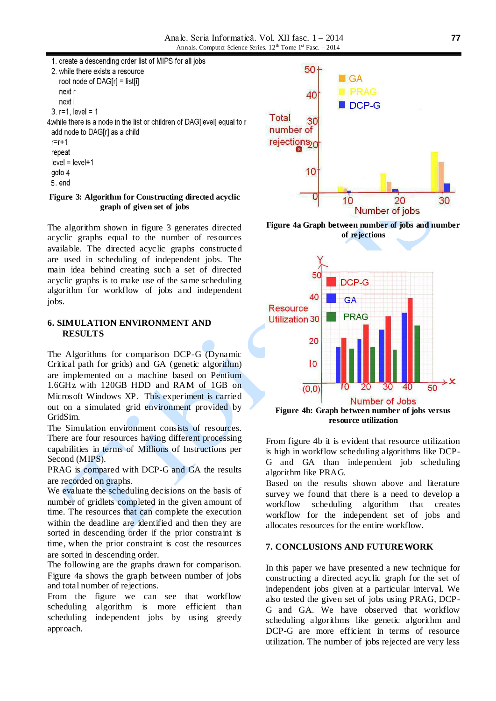

#### **Figure 3: Algorithm for Constructing directed acyclic graph of given set of jobs**

The algorithm shown in figure 3 generates directed acyclic graphs equal to the number of resources available. The directed acyclic graphs constructed are used in scheduling of independent jobs. The main idea behind creating such a set of directed acyclic graphs is to make use of the same scheduling algorithm for workflow of jobs and independent jobs.

#### **6. SIMULATION ENVIRONMENT AND RESULTS**

The Algorithms for comparison DCP-G (Dynamic Critical path for grids) and GA (genetic algorithm) are implemented on a machine based on Pentium 1.6GHz with 120GB HDD and RAM of 1GB on Microsoft Windows XP. This experiment is carried out on a simulated grid environment provided by GridSim.

The Simulation environment consists of resources. There are four resources having different processing capabilities in terms of Millions of Instructions per Second (MIPS).

PRAG is compared with DCP-G and GA the results are recorded on graphs.

We evaluate the scheduling decisions on the basis of number of gridlets completed in the given amount of time. The resources that can complete the execution within the deadline are identified and then they are sorted in descending order if the prior constraint is time, when the prior constraint is cost the resources are sorted in descending order.

The following are the graphs drawn for comparison. Figure 4a shows the graph between number of jobs and total number of rejections.

From the figure we can see that workflow scheduling algorithm is more efficient than scheduling independent jobs by using greedy approach.



**Figure 4a Graph between number of jobs and number of rejections**



From figure 4b it is evident that resource utilization is high in workflow scheduling algorithms like DCP-G and GA than independent job scheduling algorithm like PRAG.

Based on the results shown above and literature survey we found that there is a need to develop a workflow scheduling algorithm that creates workflow for the independent set of jobs and allocates resources for the entire workflow.

## **7. CONCLUSIONS AND FUTUREWORK**

In this paper we have presented a new technique for constructing a directed acyclic graph for the set of independent jobs given at a particular interval. We also tested the given set of jobs using PRAG, DCP-G and GA. We have observed that workflow scheduling algorithms like genetic algorithm and DCP-G are more efficient in terms of resource utilization. The number of jobs rejected are very less